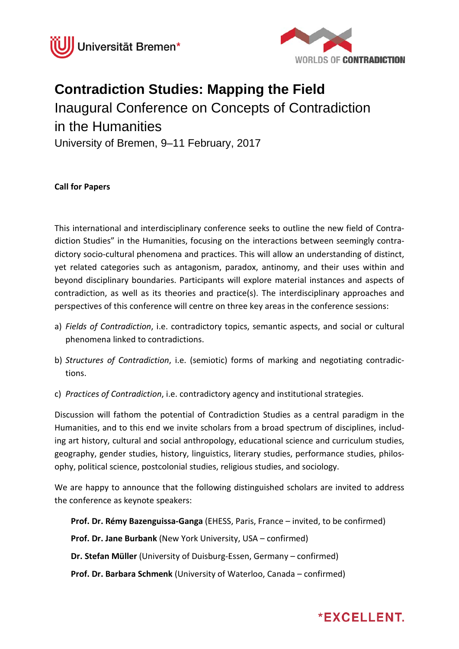



## **Contradiction Studies: Mapping the Field**

Inaugural Conference on Concepts of Contradiction in the Humanities University of Bremen, 9–11 February, 2017

## **Call for Papers**

This international and interdisciplinary conference seeks to outline the new field of Contradiction Studies" in the Humanities, focusing on the interactions between seemingly contradictory socio-cultural phenomena and practices. This will allow an understanding of distinct, yet related categories such as antagonism, paradox, antinomy, and their uses within and beyond disciplinary boundaries. Participants will explore material instances and aspects of contradiction, as well as its theories and practice(s). The interdisciplinary approaches and perspectives of this conference will centre on three key areas in the conference sessions:

- a) *Fields of Contradiction*, i.e. contradictory topics, semantic aspects, and social or cultural phenomena linked to contradictions.
- b) *Structures of Contradiction*, i.e. (semiotic) forms of marking and negotiating contradictions.
- c) *Practices of Contradiction*, i.e. contradictory agency and institutional strategies.

Discussion will fathom the potential of Contradiction Studies as a central paradigm in the Humanities, and to this end we invite scholars from a broad spectrum of disciplines, including art history, cultural and social anthropology, educational science and curriculum studies, geography, gender studies, history, linguistics, literary studies, performance studies, philosophy, political science, postcolonial studies, religious studies, and sociology.

We are happy to announce that the following distinguished scholars are invited to address the conference as keynote speakers:

**Prof. Dr. Rémy Bazenguissa-Ganga** (EHESS, Paris, France – invited, to be confirmed)

**Prof. Dr. Jane Burbank** (New York University, USA – confirmed)

**Dr. Stefan Müller** (University of Duisburg-Essen, Germany – confirmed)

**Prof. Dr. Barbara Schmenk** (University of Waterloo, Canada – confirmed)